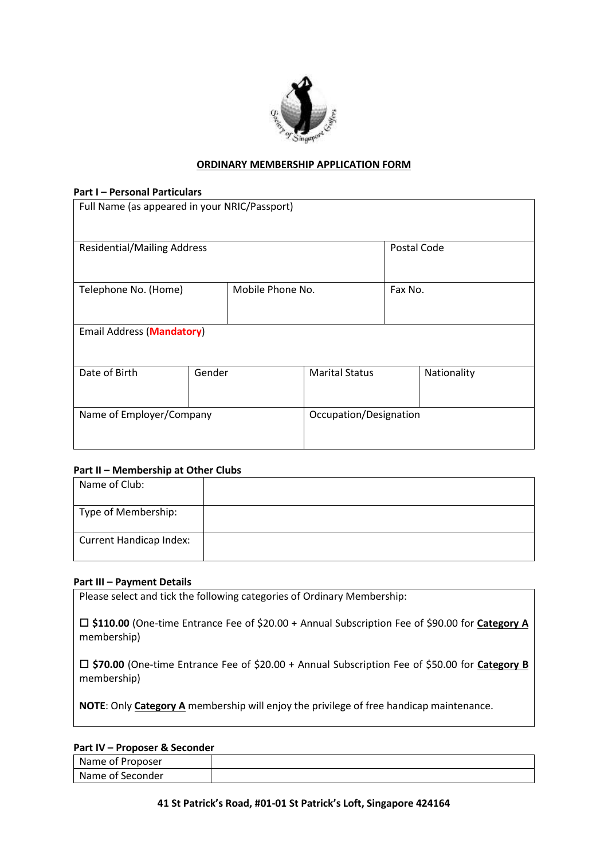

## **ORDINARY MEMBERSHIP APPLICATION FORM**

### **Part I – Personal Particulars**

| Full Name (as appeared in your NRIC/Passport) |        |                  |                        |         |             |  |  |
|-----------------------------------------------|--------|------------------|------------------------|---------|-------------|--|--|
| <b>Residential/Mailing Address</b>            |        |                  |                        |         | Postal Code |  |  |
| Telephone No. (Home)                          |        | Mobile Phone No. |                        | Fax No. |             |  |  |
| <b>Email Address (Mandatory)</b>              |        |                  |                        |         |             |  |  |
| Date of Birth                                 | Gender |                  | <b>Marital Status</b>  |         | Nationality |  |  |
| Name of Employer/Company                      |        |                  | Occupation/Designation |         |             |  |  |

### **Part II – Membership at Other Clubs**

| Name of Club:                  |  |
|--------------------------------|--|
| Type of Membership:            |  |
| <b>Current Handicap Index:</b> |  |

### **Part III – Payment Details**

Please select and tick the following categories of Ordinary Membership:

 **\$110.00** (One-time Entrance Fee of \$20.00 + Annual Subscription Fee of \$90.00 for **Category A** membership)

 **\$70.00** (One-time Entrance Fee of \$20.00 + Annual Subscription Fee of \$50.00 for **Category B** membership)

**NOTE**: Only **Category A** membership will enjoy the privilege of free handicap maintenance.

# **Part IV – Proposer & Seconder**

| - --- - - -<br>. |  |  |  |
|------------------|--|--|--|
| Name of Proposer |  |  |  |
| Name of Seconder |  |  |  |